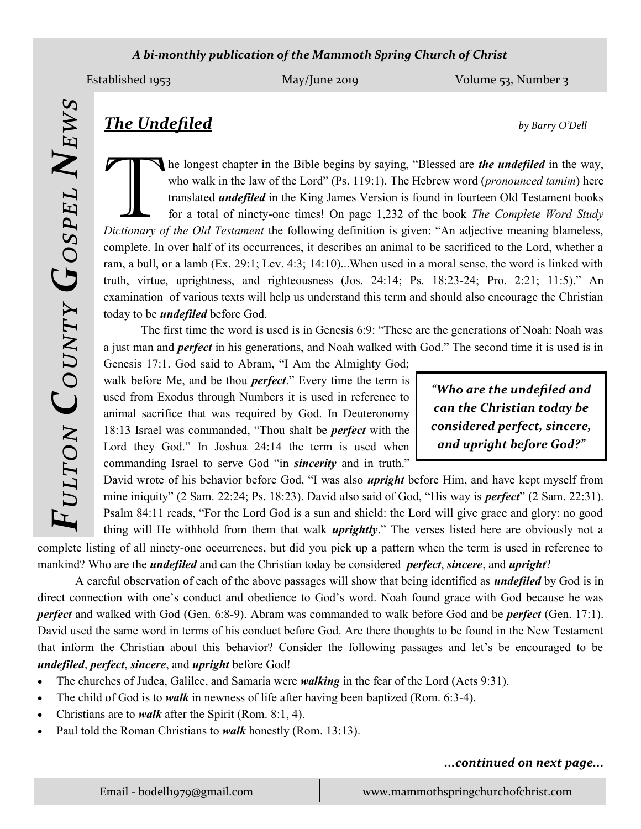## *A bi-monthly publication of the Mammoth Spring Church of Christ*

*Fulton*

*County*

*Gospel*

*News*

Established 1953 May/June 2019 May/June 2019 Volume 53, Number 3

**The longest chapter in the Bible begins by saying, "Blessed are** *the undefiled* **in the way, who walk in the law of the Lord" (Ps. 119:1). The Hebrew word (***pronounced tamim***) here translated** *undefiled* **in the King James** he longest chapter in the Bible begins by saying, "Blessed are *the undefiled* in the way, who walk in the law of the Lord" (Ps. 119:1). The Hebrew word (*pronounced tamim*) here translated *undefiled* in the King James Version is found in fourteen Old Testament books for a total of ninety-one times! On page 1,232 of the book *The Complete Word Study*  complete. In over half of its occurrences, it describes an animal to be sacrificed to the Lord, whether a ram, a bull, or a lamb (Ex. 29:1; Lev. 4:3; 14:10)...When used in a moral sense, the word is linked with truth, virtue, uprightness, and righteousness (Jos. 24:14; Ps. 18:23-24; Pro. 2:21; 11:5)." An examination of various texts will help us understand this term and should also encourage the Christian today to be *undefiled* before God.

The first time the word is used is in Genesis 6:9: "These are the generations of Noah: Noah was a just man and *perfect* in his generations, and Noah walked with God." The second time it is used is in

Genesis 17:1. God said to Abram, "I Am the Almighty God; walk before Me, and be thou *perfect*." Every time the term is used from Exodus through Numbers it is used in reference to animal sacrifice that was required by God. In Deuteronomy 18:13 Israel was commanded, "Thou shalt be *perfect* with the Lord they God." In Joshua 24:14 the term is used when commanding Israel to serve God "in *sincerity* and in truth."

*"Who are the undefiled and can the Christian today be considered perfect, sincere, and upright before God?"*

David wrote of his behavior before God, "I was also *upright* before Him, and have kept myself from mine iniquity" (2 Sam. 22:24; Ps. 18:23). David also said of God, "His way is *perfect*" (2 Sam. 22:31). Psalm 84:11 reads, "For the Lord God is a sun and shield: the Lord will give grace and glory: no good thing will He withhold from them that walk *uprightly*." The verses listed here are obviously not a

complete listing of all ninety-one occurrences, but did you pick up a pattern when the term is used in reference to mankind? Who are the *undefiled* and can the Christian today be considered *perfect*, *sincere*, and *upright*?

A careful observation of each of the above passages will show that being identified as *undefiled* by God is in direct connection with one's conduct and obedience to God's word. Noah found grace with God because he was *perfect* and walked with God (Gen. 6:8-9). Abram was commanded to walk before God and be *perfect* (Gen. 17:1). David used the same word in terms of his conduct before God. Are there thoughts to be found in the New Testament that inform the Christian about this behavior? Consider the following passages and let's be encouraged to be *undefiled*, *perfect*, *sincere*, and *upright* before God!

- The churches of Judea, Galilee, and Samaria were *walking* in the fear of the Lord (Acts 9:31).
- The child of God is to *walk* in newness of life after having been baptized (Rom. 6:3-4).
- Christians are to *walk* after the Spirit (Rom. 8:1, 4).
- Paul told the Roman Christians to *walk* honestly (Rom. 13:13).

## *...continued on next page...*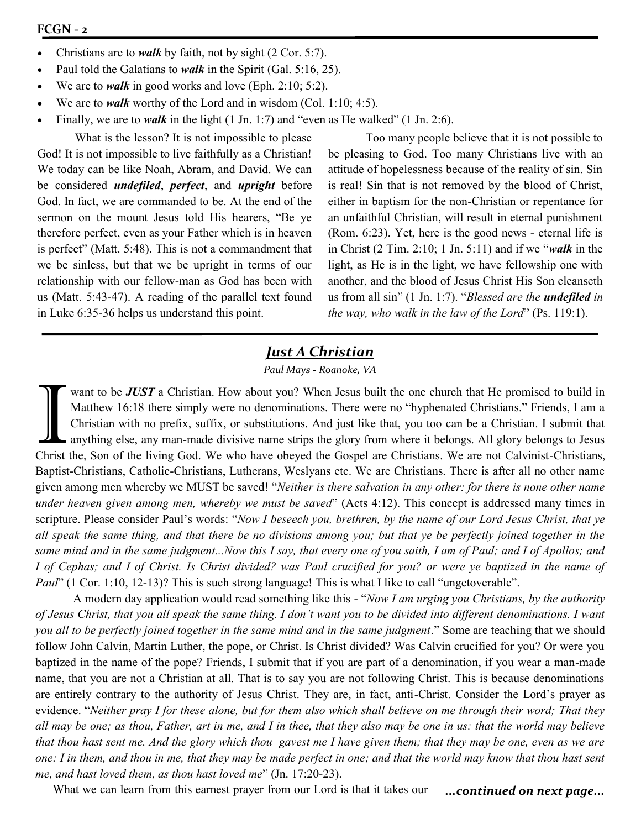- Christians are to *walk* by faith, not by sight (2 Cor. 5:7).
- Paul told the Galatians to *walk* in the Spirit (Gal. 5:16, 25).
- We are to *walk* in good works and love (Eph. 2:10; 5:2).
- We are to *walk* worthy of the Lord and in wisdom (Col. 1:10; 4:5).
- Finally, we are to *walk* in the light (1 Jn. 1:7) and "even as He walked" (1 Jn. 2:6).

What is the lesson? It is not impossible to please God! It is not impossible to live faithfully as a Christian! We today can be like Noah, Abram, and David. We can be considered *undefiled*, *perfect*, and *upright* before God. In fact, we are commanded to be. At the end of the sermon on the mount Jesus told His hearers, "Be ye therefore perfect, even as your Father which is in heaven is perfect" (Matt. 5:48). This is not a commandment that we be sinless, but that we be upright in terms of our relationship with our fellow-man as God has been with us (Matt. 5:43-47). A reading of the parallel text found in Luke 6:35-36 helps us understand this point.

Too many people believe that it is not possible to be pleasing to God. Too many Christians live with an attitude of hopelessness because of the reality of sin. Sin is real! Sin that is not removed by the blood of Christ, either in baptism for the non-Christian or repentance for an unfaithful Christian, will result in eternal punishment (Rom. 6:23). Yet, here is the good news - eternal life is in Christ (2 Tim. 2:10; 1 Jn. 5:11) and if we "*walk* in the light, as He is in the light, we have fellowship one with another, and the blood of Jesus Christ His Son cleanseth us from all sin" (1 Jn. 1:7). "*Blessed are the undefiled in the way, who walk in the law of the Lord*" (Ps. 119:1).

# *Just A Christian*

*Paul Mays - Roanoke, VA*

Want to be **JUST** a Christian. How about you? When Jesus built the one church that He promised to build in Matthew 16:18 there simply were no denominations. There were no "hyphenated Christians." Friends, I am a Christian want to be *JUST* a Christian. How about you? When Jesus built the one church that He promised to build in Matthew 16:18 there simply were no denominations. There were no "hyphenated Christians." Friends, I am a Christian with no prefix, suffix, or substitutions. And just like that, you too can be a Christian. I submit that anything else, any man-made divisive name strips the glory from where it belongs. All glory belongs to Jesus Baptist-Christians, Catholic-Christians, Lutherans, Weslyans etc. We are Christians. There is after all no other name given among men whereby we MUST be saved! "*Neither is there salvation in any other: for there is none other name under heaven given among men, whereby we must be saved*" (Acts 4:12). This concept is addressed many times in scripture. Please consider Paul's words: "*Now I beseech you, brethren, by the name of our Lord Jesus Christ, that ye all speak the same thing, and that there be no divisions among you; but that ye be perfectly joined together in the same mind and in the same judgment...Now this I say, that every one of you saith, I am of Paul; and I of Apollos; and I of Cephas; and I of Christ. Is Christ divided? was Paul crucified for you? or were ye baptized in the name of Paul*" (1 Cor. 1:10, 12-13)? This is such strong language! This is what I like to call "ungetoverable".

A modern day application would read something like this - "*Now I am urging you Christians, by the authority of Jesus Christ, that you all speak the same thing. I don't want you to be divided into different denominations. I want you all to be perfectly joined together in the same mind and in the same judgment*." Some are teaching that we should follow John Calvin, Martin Luther, the pope, or Christ. Is Christ divided? Was Calvin crucified for you? Or were you baptized in the name of the pope? Friends, I submit that if you are part of a denomination, if you wear a man-made name, that you are not a Christian at all. That is to say you are not following Christ. This is because denominations are entirely contrary to the authority of Jesus Christ. They are, in fact, anti-Christ. Consider the Lord's prayer as evidence. "*Neither pray I for these alone, but for them also which shall believe on me through their word; That they all may be one; as thou, Father, art in me, and I in thee, that they also may be one in us: that the world may believe that thou hast sent me. And the glory which thou gavest me I have given them; that they may be one, even as we are one: I in them, and thou in me, that they may be made perfect in one; and that the world may know that thou hast sent me, and hast loved them, as thou hast loved me*" (Jn. 17:20-23).

What we can learn from this earnest prayer from our Lord is that it takes our *...continued on next page...*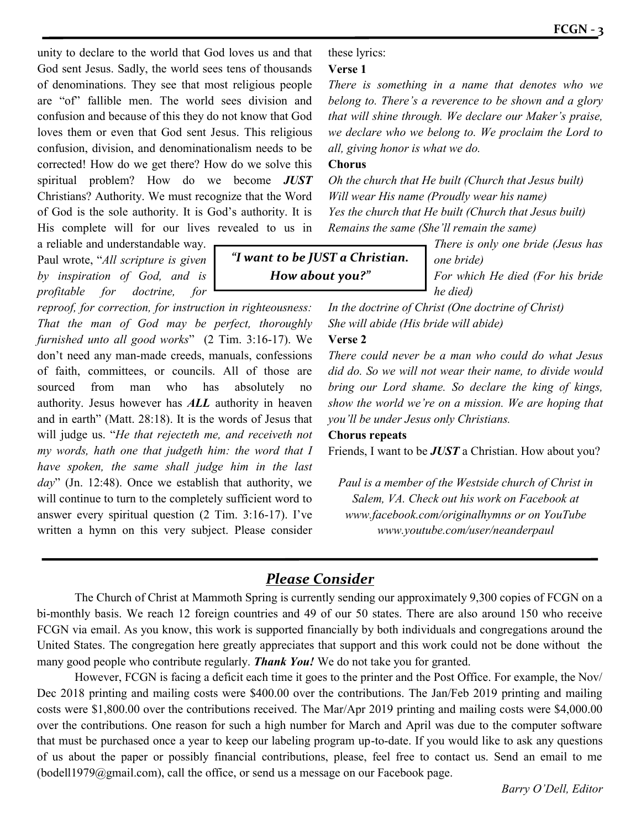unity to declare to the world that God loves us and that God sent Jesus. Sadly, the world sees tens of thousands of denominations. They see that most religious people are "of" fallible men. The world sees division and confusion and because of this they do not know that God loves them or even that God sent Jesus. This religious confusion, division, and denominationalism needs to be corrected! How do we get there? How do we solve this spiritual problem? How do we become *JUST* Christians? Authority. We must recognize that the Word of God is the sole authority. It is God's authority. It is His complete will for our lives revealed to us in

a reliable and understandable way. Paul wrote, "*All scripture is given by inspiration of God, and is profitable for doctrine, for* 

*reproof, for correction, for instruction in righteousness: That the man of God may be perfect, thoroughly furnished unto all good works*" (2 Tim. 3:16-17). We don't need any man-made creeds, manuals, confessions of faith, committees, or councils. All of those are sourced from man who has absolutely no authority. Jesus however has *ALL* authority in heaven and in earth" (Matt. 28:18). It is the words of Jesus that will judge us. "*He that rejecteth me, and receiveth not my words, hath one that judgeth him: the word that I have spoken, the same shall judge him in the last day*" (Jn. 12:48). Once we establish that authority, we will continue to turn to the completely sufficient word to answer every spiritual question (2 Tim. 3:16-17). I've written a hymn on this very subject. Please consider these lyrics:

## **Verse 1**

*There is something in a name that denotes who we belong to. There's a reverence to be shown and a glory that will shine through. We declare our Maker's praise, we declare who we belong to. We proclaim the Lord to all, giving honor is what we do.*

## **Chorus**

*Oh the church that He built (Church that Jesus built) Will wear His name (Proudly wear his name) Yes the church that He built (Church that Jesus built) Remains the same (She'll remain the same)*

*"I want to be JUST a Christian. How about you?"*

*There is only one bride (Jesus has one bride) For which He died (For his bride he died)*

*In the doctrine of Christ (One doctrine of Christ) She will abide (His bride will abide)*

## **Verse 2**

*There could never be a man who could do what Jesus did do. So we will not wear their name, to divide would bring our Lord shame. So declare the king of kings, show the world we're on a mission. We are hoping that you'll be under Jesus only Christians.*

## **Chorus repeats**

Friends, I want to be *JUST* a Christian. How about you?

*Paul is a member of the Westside church of Christ in Salem, VA. Check out his work on Facebook at www.facebook.com/originalhymns or on YouTube www.youtube.com/user/neanderpaul*

# *Please Consider*

The Church of Christ at Mammoth Spring is currently sending our approximately 9,300 copies of FCGN on a bi-monthly basis. We reach 12 foreign countries and 49 of our 50 states. There are also around 150 who receive FCGN via email. As you know, this work is supported financially by both individuals and congregations around the United States. The congregation here greatly appreciates that support and this work could not be done without the many good people who contribute regularly. *Thank You!* We do not take you for granted.

However, FCGN is facing a deficit each time it goes to the printer and the Post Office. For example, the Nov/ Dec 2018 printing and mailing costs were \$400.00 over the contributions. The Jan/Feb 2019 printing and mailing costs were \$1,800.00 over the contributions received. The Mar/Apr 2019 printing and mailing costs were \$4,000.00 over the contributions. One reason for such a high number for March and April was due to the computer software that must be purchased once a year to keep our labeling program up-to-date. If you would like to ask any questions of us about the paper or possibly financial contributions, please, feel free to contact us. Send an email to me (bodell1979@gmail.com), call the office, or send us a message on our Facebook page.